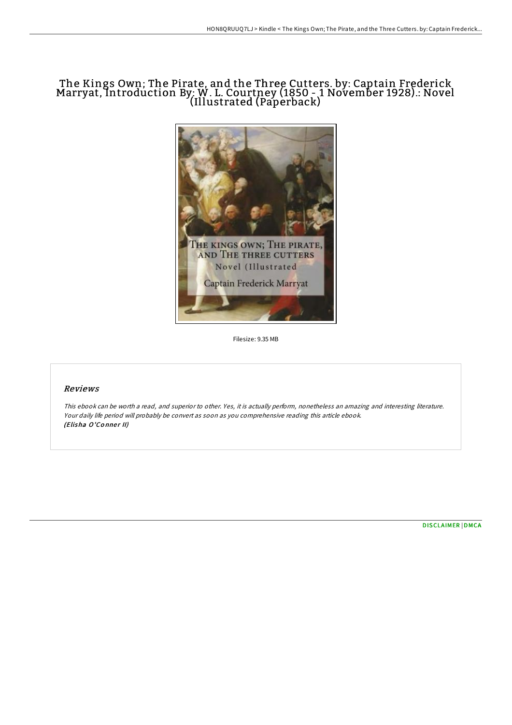## The Kings Own; The Pirate, and the Three Cutters. by: Captain Frederick Marryat, Introduction By: W. L. Courtney (1850 - 1 November 1928).: Novel (Illustrated (Paperback)



Filesize: 9.35 MB

### Reviews

This ebook can be worth <sup>a</sup> read, and superior to other. Yes, it is actually perform, nonetheless an amazing and interesting literature. Your daily life period will probably be convert as soon as you comprehensive reading this article ebook. (Elisha O'Conner II)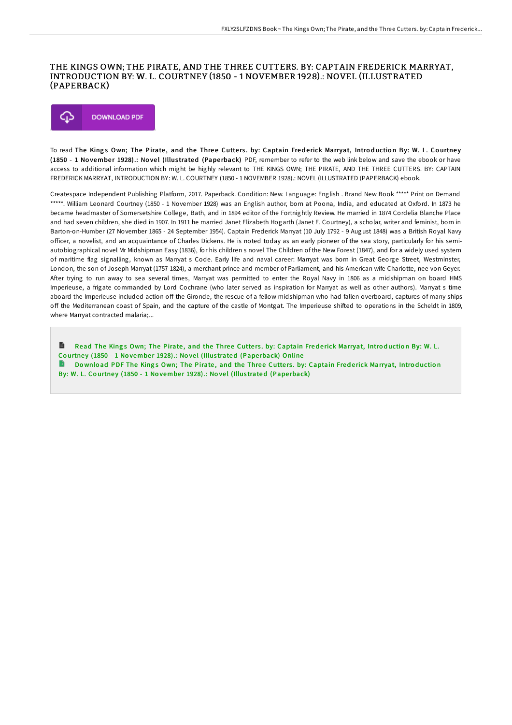#### THE KINGS OWN; THE PIRATE, AND THE THREE CUTTERS. BY: CAPTAIN FREDERICK MARRYAT, INTRODUCTION BY: W. L. COURTNEY (1850 - 1 NOVEMBER 1928).: NOVEL (ILLUSTRATED (PAPERBACK)



To read The Kings Own; The Pirate, and the Three Cutters. by: Captain Frederick Marryat, Introduction By: W. L. Courtney (1850 - 1 November 1928).: Novel (Illustrated (Paperback) PDF, remember to refer to the web link below and save the ebook or have access to additional information which might be highly relevant to THE KINGS OWN; THE PIRATE, AND THE THREE CUTTERS. BY: CAPTAIN FREDERICK MARRYAT, INTRODUCTION BY: W. L. COURTNEY (1850 - 1 NOVEMBER 1928).: NOVEL (ILLUSTRATED (PAPERBACK) ebook.

Createspace Independent Publishing Platform, 2017. Paperback. Condition: New. Language: English . Brand New Book \*\*\*\*\* Print on Demand \*\*\*\*\*. William Leonard Courtney (1850 - 1 November 1928) was an English author, born at Poona, India, and educated at Oxford. In 1873 he became headmaster of Somersetshire College, Bath, and in 1894 editor of the Fortnightly Review. He married in 1874 Cordelia Blanche Place and had seven children, she died in 1907. In 1911 he married Janet Elizabeth Hogarth (Janet E. Courtney), a scholar, writer and feminist, born in Barton-on-Humber (27 November 1865 - 24 September 1954). Captain Frederick Marryat (10 July 1792 - 9 August 1848) was a British Royal Navy officer, a novelist, and an acquaintance of Charles Dickens. He is noted today as an early pioneer of the sea story, particularly for his semiautobiographical novel Mr Midshipman Easy (1836), for his children s novel The Children of the New Forest (1847), and for a widely used system of maritime flag signalling, known as Marryat s Code. Early life and naval career: Marryat was born in Great George Street, Westminster, London, the son of Joseph Marryat (1757-1824), a merchant prince and member of Parliament, and his American wife Charlotte, nee von Geyer. After trying to run away to sea several times, Marryat was permitted to enter the Royal Navy in 1806 as a midshipman on board HMS Imperieuse, a frigate commanded by Lord Cochrane (who later served as inspiration for Marryat as well as other authors). Marryat s time aboard the Imperieuse included action off the Gironde, the rescue of a fellow midshipman who had fallen overboard, captures of many ships off the Mediterranean coast of Spain, and the capture of the castle of Montgat. The Imperieuse shifted to operations in the Scheldt in 1809, where Marryat contracted malaria;...

Read The Kings Own; The Pirate, and the Three Cutters. by: Captain Frederick [Marryat,](http://almighty24.tech/the-kings-own-the-pirate-and-the-three-cutters-b.html) Introduction By: W. L. Courtney (1850 - 1 November 1928).: Novel (Illustrated (Paperback) Online Download PDF The Kings Own; The Pirate, and the Three Cutters. by: Captain Frederick [Marryat,](http://almighty24.tech/the-kings-own-the-pirate-and-the-three-cutters-b.html) Introduction

By: W. L. Courtney (1850 - 1 November 1928).: Novel (Illustrated (Paperback)